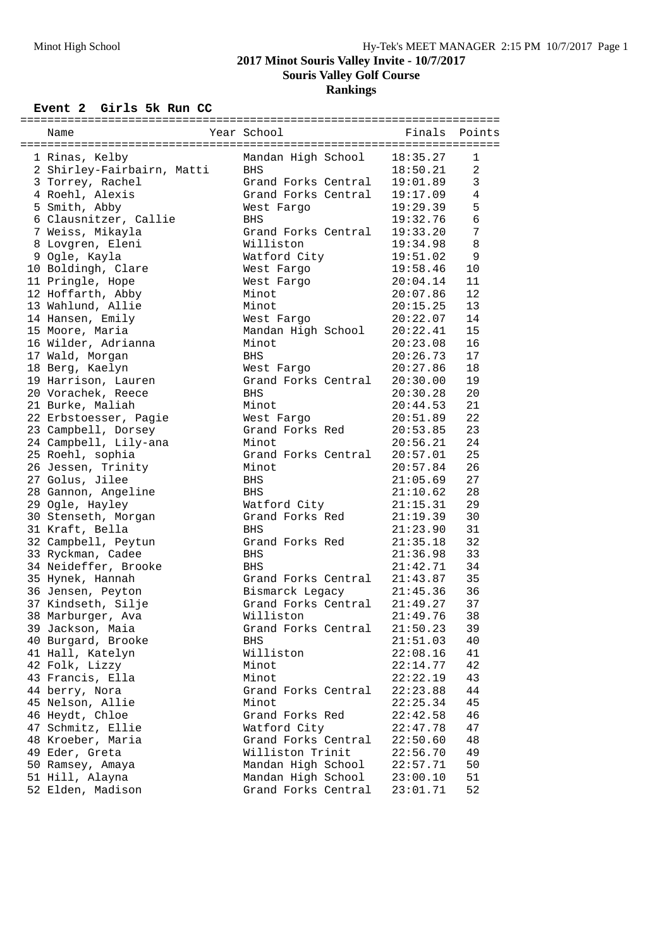## **2017 Minot Souris Valley Invite - 10/7/2017 Souris Valley Golf Course**

**Rankings**

## **Event 2 Girls 5k Run CC**

| Name                                     | Year School                     | Finals               | Points       |
|------------------------------------------|---------------------------------|----------------------|--------------|
|                                          |                                 |                      |              |
| 1 Rinas, Kelby                           | Mandan High School              | 18:35.27             | 1            |
| 2 Shirley-Fairbairn, Matti               | <b>BHS</b>                      | 18:50.21             | 2            |
| 3 Torrey, Rachel                         | Grand Forks Central             | 19:01.89             | $\mathsf{3}$ |
| 4 Roehl, Alexis                          | Grand Forks Central             | 19:17.09             | 4            |
| 5 Smith, Abby                            | West Fargo                      | 19:29.39             | 5            |
| 6 Clausnitzer, Callie                    | <b>BHS</b>                      | 19:32.76             | 6            |
| 7 Weiss, Mikayla                         | Grand Forks Central             | 19:33.20             | 7            |
| 8 Lovgren, Eleni                         | Williston                       | 19:34.98             | 8            |
| 9 Ogle, Kayla                            | Watford City                    | 19:51.02             | 9            |
| 10 Boldingh, Clare                       | West Fargo                      | 19:58.46             | 10           |
| 11 Pringle, Hope                         | West Fargo                      | 20:04.14             | 11           |
| 12 Hoffarth, Abby                        | Minot                           | 20:07.86             | 12           |
| 13 Wahlund, Allie                        | Minot                           | 20:15.25             | 13           |
| 14 Hansen, Emily                         | West Fargo                      | 20:22.07             | 14           |
| 15 Moore, Maria                          | Mandan High School              | 20:22.41             | 15           |
| 16 Wilder, Adrianna                      | Minot                           | 20:23.08             | 16           |
| 17 Wald, Morgan                          | <b>BHS</b>                      | 20:26.73             | 17           |
| 18 Berg, Kaelyn                          | West Fargo                      | 20:27.86             | 18           |
| 19 Harrison, Lauren                      | Grand Forks Central             | 20:30.00             | 19           |
| 20 Vorachek, Reece                       | <b>BHS</b>                      | 20:30.28             | 20           |
| 21 Burke, Maliah                         | Minot                           | 20:44.53             | 21           |
| 22 Erbstoesser, Pagie                    | West Fargo                      | 20:51.89             | 22           |
| 23 Campbell, Dorsey                      | Grand Forks Red                 | 20:53.85             | 23           |
| 24 Campbell, Lily-ana                    | Minot                           | 20:56.21             | 24           |
| 25 Roehl, sophia                         | Grand Forks Central             | 20:57.01             | 25<br>26     |
| 26 Jessen, Trinity                       | Minot                           | 20:57.84             | 27           |
| 27 Golus, Jilee                          | BHS                             | 21:05.69             |              |
| 28 Gannon, Angeline                      | <b>BHS</b>                      | 21:10.62             | 28           |
| 29 Ogle, Hayley                          | Watford City<br>Grand Forks Red | 21:15.31             | 29<br>30     |
| 30 Stenseth, Morgan<br>31 Kraft, Bella   | <b>BHS</b>                      | 21:19.39<br>21:23.90 | 31           |
|                                          | Grand Forks Red                 |                      | 32           |
| 32 Campbell, Peytun<br>33 Ryckman, Cadee | BHS                             | 21:35.18<br>21:36.98 | 33           |
| 34 Neideffer, Brooke                     | <b>BHS</b>                      | 21:42.71             | 34           |
| 35 Hynek, Hannah                         | Grand Forks Central             | 21:43.87             | 35           |
| 36 Jensen, Peyton                        | Bismarck Legacy                 | 21:45.36             | 36           |
| 37 Kindseth, Silje                       | Grand Forks Central             | 21:49.27             | 37           |
| 38 Marburger, Ava                        | Williston                       | 21:49.76             | 38           |
| 39 Jackson, Maia                         | Grand Forks Central             | 21:50.23             | 39           |
| 40 Burgard, Brooke                       | BHS                             | 21:51.03             | 40           |
| 41 Hall, Katelyn                         | Williston                       | 22:08.16             | 41           |
| 42 Folk, Lizzy                           | Minot                           | 22:14.77             | 42           |
| 43 Francis, Ella                         | Minot                           | 22:22.19             | 43           |
| 44 berry, Nora                           | Grand Forks Central             | 22:23.88             | 44           |
| 45 Nelson, Allie                         | Minot                           | 22:25.34             | 45           |
| 46 Heydt, Chloe                          | Grand Forks Red                 | 22:42.58             | 46           |
| 47 Schmitz, Ellie                        | Watford City                    | 22:47.78             | 47           |
| 48 Kroeber, Maria                        | Grand Forks Central             | 22:50.60             | 48           |
| 49 Eder, Greta                           | Williston Trinit                | 22:56.70             | 49           |
| 50 Ramsey, Amaya                         | Mandan High School              | 22:57.71             | 50           |
| 51 Hill, Alayna                          | Mandan High School              | 23:00.10             | 51           |
| 52 Elden, Madison                        | Grand Forks Central             | 23:01.71             | 52           |
|                                          |                                 |                      |              |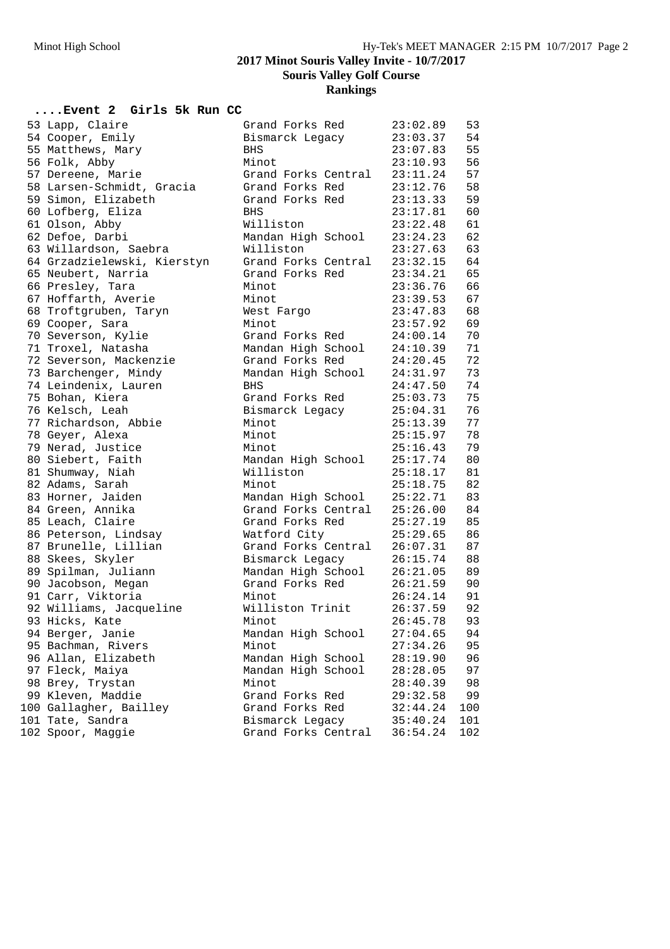**2017 Minot Souris Valley Invite - 10/7/2017**

**Souris Valley Golf Course**

**Rankings**

## **....Event 2 Girls 5k Run CC**

| 53 Lapp, Claire             | Grand Forks Red     | 23:02.89 | 53  |
|-----------------------------|---------------------|----------|-----|
| 54 Cooper, Emily            | Bismarck Legacy     | 23:03.37 | 54  |
| 55 Matthews, Mary           | <b>BHS</b>          | 23:07.83 | 55  |
| 56 Folk, Abby               | Minot               | 23:10.93 | 56  |
| 57 Dereene, Marie           | Grand Forks Central | 23:11.24 | 57  |
| 58 Larsen-Schmidt, Gracia   | Grand Forks Red     | 23:12.76 | 58  |
| 59 Simon, Elizabeth         | Grand Forks Red     | 23:13.33 | 59  |
| 60 Lofberg, Eliza           | BHS                 | 23:17.81 | 60  |
| 61 Olson, Abby              | Williston           | 23:22.48 | 61  |
| 62 Defoe, Darbi             | Mandan High School  | 23:24.23 | 62  |
| 63 Willardson, Saebra       | Williston           | 23:27.63 | 63  |
| 64 Grzadzielewski, Kierstyn | Grand Forks Central | 23:32.15 | 64  |
| 65 Neubert, Narria          | Grand Forks Red     | 23:34.21 | 65  |
| 66 Presley, Tara            | Minot               | 23:36.76 | 66  |
| 67 Hoffarth, Averie         | Minot               | 23:39.53 | 67  |
| 68 Troftgruben, Taryn       | West Fargo          | 23:47.83 | 68  |
| 69 Cooper, Sara             | Minot               | 23:57.92 | 69  |
| 70 Severson, Kylie          | Grand Forks Red     | 24:00.14 | 70  |
| 71 Troxel, Natasha          | Mandan High School  | 24:10.39 | 71  |
| 72 Severson, Mackenzie      | Grand Forks Red     | 24:20.45 | 72  |
| 73 Barchenger, Mindy        | Mandan High School  | 24:31.97 | 73  |
| 74 Leindenix, Lauren        | <b>BHS</b>          | 24:47.50 | 74  |
| 75 Bohan, Kiera             | Grand Forks Red     | 25:03.73 | 75  |
| 76 Kelsch, Leah             | Bismarck Legacy     | 25:04.31 | 76  |
| 77 Richardson, Abbie        | Minot               | 25:13.39 | 77  |
| 78 Geyer, Alexa             | Minot               | 25:15.97 | 78  |
| 79 Nerad, Justice           | Minot               | 25:16.43 | 79  |
| 80 Siebert, Faith           | Mandan High School  | 25:17.74 | 80  |
| 81 Shumway, Niah            | Williston           | 25:18.17 | 81  |
| 82 Adams, Sarah             | Minot               | 25:18.75 | 82  |
| 83 Horner, Jaiden           | Mandan High School  | 25:22.71 | 83  |
| 84 Green, Annika            | Grand Forks Central | 25:26.00 | 84  |
| 85 Leach, Claire            | Grand Forks Red     | 25:27.19 | 85  |
| 86 Peterson, Lindsay        | Watford City        | 25:29.65 | 86  |
| 87 Brunelle, Lillian        | Grand Forks Central | 26:07.31 | 87  |
| 88 Skees, Skyler            | Bismarck Legacy     | 26:15.74 | 88  |
| 89 Spilman, Juliann         | Mandan High School  | 26:21.05 | 89  |
| 90 Jacobson, Megan          | Grand Forks Red     | 26:21.59 | 90  |
| 91 Carr, Viktoria           | Minot               | 26:24.14 | 91  |
| 92 Williams, Jacqueline     | Williston Trinit    | 26:37.59 | 92  |
| 93 Hicks, Kate              | Minot               | 26:45.78 | 93  |
| 94 Berger, Janie            | Mandan High School  | 27:04.65 | 94  |
| 95 Bachman, Rivers          | Minot               | 27:34.26 | 95  |
| 96 Allan, Elizabeth         | Mandan High School  | 28:19.90 | 96  |
| 97 Fleck, Maiya             | Mandan High School  | 28:28.05 | 97  |
| 98 Brey, Trystan            | Minot               | 28:40.39 | 98  |
| 99 Kleven, Maddie           | Grand Forks Red     | 29:32.58 | 99  |
| 100 Gallagher, Bailley      | Grand Forks Red     | 32:44.24 | 100 |
| 101 Tate, Sandra            | Bismarck Legacy     | 35:40.24 | 101 |
| 102 Spoor, Maggie           | Grand Forks Central | 36:54.24 | 102 |
|                             |                     |          |     |